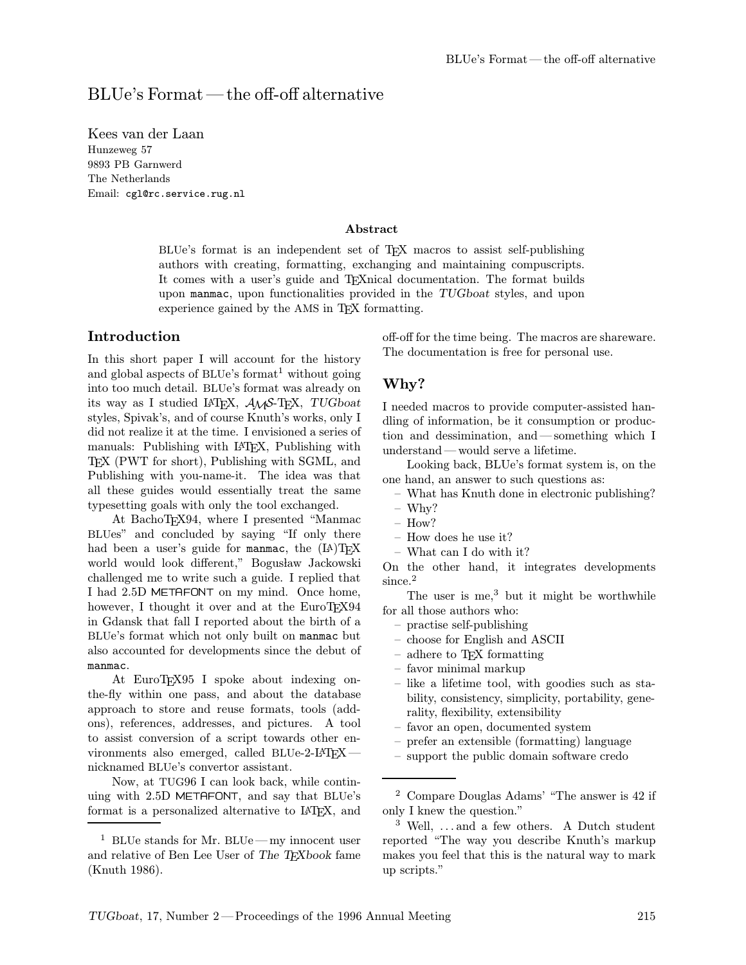## BLUe's Format—the off-off alternative

Kees van der Laan Hunzeweg 57 9893 PB Garnwerd The Netherlands Email: cgl@rc.service.rug.nl

#### Abstract

BLUe's format is an independent set of TEX macros to assist self-publishing authors with creating, formatting, exchanging and maintaining compuscripts. It comes with a user's guide and TEXnical documentation. The format builds upon manmac, upon functionalities provided in the TUGboat styles, and upon experience gained by the AMS in TEX formatting.

#### Introduction

In this short paper I will account for the history and global aspects of BLUe's format<sup>1</sup> without going into too much detail. BLUe's format was already on its way as I studied LAT<sub>F</sub>X,  $A\mathcal{M}S$ -T<sub>F</sub>X, TUGboat styles, Spivak's, and of course Knuth's works, only I did not realize it at the time. I envisioned a series of manuals: Publishing with LATEX, Publishing with TEX (PWT for short), Publishing with SGML, and Publishing with you-name-it. The idea was that all these guides would essentially treat the same typesetting goals with only the tool exchanged.

At BachoTEX94, where I presented "Manmac BLUes" and concluded by saying "If only there had been a user's guide for manmac, the  $(LA)$ TEX world would look different," Bogusław Jackowski challenged me to write such a guide. I replied that I had 2.5D METAFONT on my mind. Once home, however, I thought it over and at the EuroTEX94 in Gdansk that fall I reported about the birth of a BLUe's format which not only built on manmac but also accounted for developments since the debut of manmac.

At EuroTEX95 I spoke about indexing onthe-fly within one pass, and about the database approach to store and reuse formats, tools (addons), references, addresses, and pictures. A tool to assist conversion of a script towards other environments also emerged, called BLUe-2-LATFXnicknamed BLUe's convertor assistant.

Now, at TUG96 I can look back, while continuing with 2.5D METAFONT, and say that BLUe's format is a personalized alternative to LATEX, and off-off for the time being. The macros are shareware. The documentation is free for personal use.

#### Why?

I needed macros to provide computer-assisted handling of information, be it consumption or production and dessimination, and—something which I understand—would serve a lifetime.

Looking back, BLUe's format system is, on the one hand, an answer to such questions as:

- What has Knuth done in electronic publishing?
- Why?
- How?
- How does he use it?
- What can I do with it?

On the other hand, it integrates developments since.<sup>2</sup>

The user is me, $3$  but it might be worthwhile for all those authors who:

- practise self-publishing
- choose for English and ASCII
- adhere to TEX formatting
- favor minimal markup
- like a lifetime tool, with goodies such as stability, consistency, simplicity, portability, generality, flexibility, extensibility
- favor an open, documented system
- prefer an extensible (formatting) language
- support the public domain software credo

<sup>&</sup>lt;sup>1</sup> BLUe stands for Mr. BLUe—my innocent user and relative of Ben Lee User of The T<sub>E</sub>Xbook fame (Knuth 1986).

<sup>2</sup> Compare Douglas Adams' "The answer is 42 if only I knew the question."

<sup>3</sup> Well, ... and a few others. A Dutch student reported "The way you describe Knuth's markup makes you feel that this is the natural way to mark up scripts."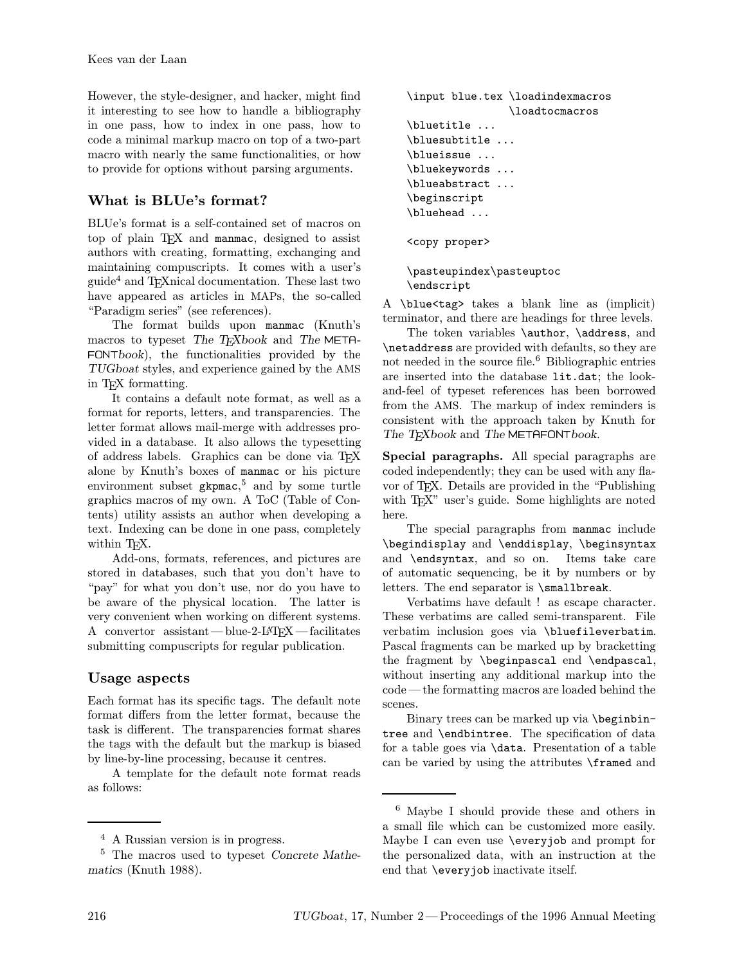However, the style-designer, and hacker, might find it interesting to see how to handle a bibliography in one pass, how to index in one pass, how to code a minimal markup macro on top of a two-part macro with nearly the same functionalities, or how to provide for options without parsing arguments.

# What is BLUe's format?

BLUe's format is a self-contained set of macros on top of plain T<sub>E</sub>X and manmac, designed to assist authors with creating, formatting, exchanging and maintaining compuscripts. It comes with a user's guide<sup>4</sup> and TEXnical documentation. These last two have appeared as articles in MAPs, the so-called "Paradigm series" (see references).

The format builds upon manmac (Knuth's macros to typeset The TEXbook and The META-FONTbook), the functionalities provided by the TUGboat styles, and experience gained by the AMS in TEX formatting.

It contains a default note format, as well as a format for reports, letters, and transparencies. The letter format allows mail-merge with addresses provided in a database. It also allows the typesetting of address labels. Graphics can be done via TEX alone by Knuth's boxes of manmac or his picture environment subset gkpmac, <sup>5</sup> and by some turtle graphics macros of my own. A ToC (Table of Contents) utility assists an author when developing a text. Indexing can be done in one pass, completely within T<sub>E</sub>X.

Add-ons, formats, references, and pictures are stored in databases, such that you don't have to "pay" for what you don't use, nor do you have to be aware of the physical location. The latter is very convenient when working on different systems. A convertor assistant—blue-2-LAT<sub>EX</sub>—facilitates submitting compuscripts for regular publication.

### Usage aspects

Each format has its specific tags. The default note format differs from the letter format, because the task is different. The transparencies format shares the tags with the default but the markup is biased by line-by-line processing, because it centres.

A template for the default note format reads as follows:

```
\input blue.tex \loadindexmacros
                \loadtocmacros
\bluetitle ...
\bluesubtitle ...
\blueissue ...
\bluekeywords ...
\blueabstract ...
\beginscript
\bluehead ...
```
<copy proper>

```
\pasteupindex\pasteuptoc
\endscript
```
A \blue<tag> takes a blank line as (implicit) terminator, and there are headings for three levels.

The token variables \author, \address, and \netaddress are provided with defaults, so they are not needed in the source file.<sup>6</sup> Bibliographic entries are inserted into the database lit.dat; the lookand-feel of typeset references has been borrowed from the AMS. The markup of index reminders is consistent with the approach taken by Knuth for The TEXbook and The METAFONTbook.

Special paragraphs. All special paragraphs are coded independently; they can be used with any flavor of TEX. Details are provided in the "Publishing with T<sub>EX</sub>" user's guide. Some highlights are noted here.

The special paragraphs from manmac include \begindisplay and \enddisplay, \beginsyntax and \endsyntax, and so on. Items take care of automatic sequencing, be it by numbers or by letters. The end separator is \smallbreak.

Verbatims have default ! as escape character. These verbatims are called semi-transparent. File verbatim inclusion goes via \bluefileverbatim. Pascal fragments can be marked up by bracketting the fragment by \beginpascal end \endpascal, without inserting any additional markup into the code —the formatting macros are loaded behind the scenes.

Binary trees can be marked up via \beginbintree and \endbintree. The specification of data for a table goes via \data. Presentation of a table can be varied by using the attributes \framed and

<sup>4</sup> A Russian version is in progress.

<sup>5</sup> The macros used to typeset Concrete Mathematics (Knuth 1988).

<sup>6</sup> Maybe I should provide these and others in a small file which can be customized more easily. Maybe I can even use \everyjob and prompt for the personalized data, with an instruction at the end that \everyjob inactivate itself.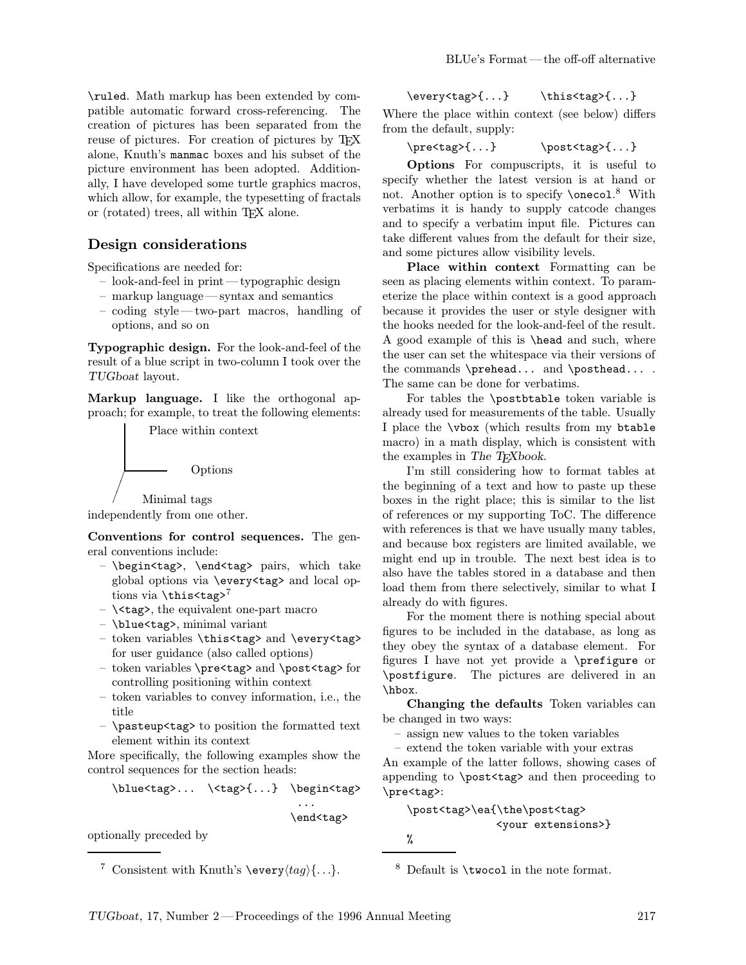\ruled. Math markup has been extended by compatible automatic forward cross-referencing. The creation of pictures has been separated from the reuse of pictures. For creation of pictures by TEX alone, Knuth's manmac boxes and his subset of the picture environment has been adopted. Additionally, I have developed some turtle graphics macros, which allow, for example, the typesetting of fractals or (rotated) trees, all within TEX alone.

#### Design considerations

Specifications are needed for:

- look-and-feel in print—typographic design
- markup language—syntax and semantics
- coding style—two-part macros, handling of options, and so on

Typographic design. For the look-and-feel of the result of a blue script in two-column I took over the TUGboat layout.

Markup language. I like the orthogonal approach; for example, to treat the following elements:

Place within context



independently from one other.

Conventions for control sequences. The general conventions include:

- \begin<tag>, \end<tag> pairs, which take global options via \every<tag> and local options via  $\theta$ <sup>7</sup>
- $\ \text{Ktag}$ , the equivalent one-part macro
- \blue<tag>, minimal variant
- token variables \this<tag> and \every<tag> for user guidance (also called options)
- token variables \pre<tag> and \post<tag> for controlling positioning within context
- token variables to convey information, i.e., the title
- \pasteup<tag> to position the formatted text element within its context

More specifically, the following examples show the control sequences for the section heads:

\blue<tag>... \<tag>{...} \begin<tag>

\end<tag>

...

optionally preceded by

\every<tag>{...} \this<tag>{...} Where the place within context (see below) differs

from the default, supply:

\pre<tag>{...} \post<tag>{...}

Options For compuscripts, it is useful to specify whether the latest version is at hand or not. Another option is to specify **\onecol.**<sup>8</sup> With verbatims it is handy to supply catcode changes and to specify a verbatim input file. Pictures can take different values from the default for their size, and some pictures allow visibility levels.

Place within context Formatting can be seen as placing elements within context. To parameterize the place within context is a good approach because it provides the user or style designer with the hooks needed for the look-and-feel of the result. A good example of this is \head and such, where the user can set the whitespace via their versions of the commands \prehead... and \posthead.... The same can be done for verbatims.

For tables the \postbtable token variable is already used for measurements of the table. Usually I place the \vbox (which results from my btable macro) in a math display, which is consistent with the examples in The T<sub>E</sub>Xbook.

I'm still considering how to format tables at the beginning of a text and how to paste up these boxes in the right place; this is similar to the list of references or my supporting ToC. The difference with references is that we have usually many tables, and because box registers are limited available, we might end up in trouble. The next best idea is to also have the tables stored in a database and then load them from there selectively, similar to what I already do with figures.

For the moment there is nothing special about figures to be included in the database, as long as they obey the syntax of a database element. For figures I have not yet provide a \prefigure or \postfigure. The pictures are delivered in an \hbox.

Changing the defaults Token variables can be changed in two ways:

– assign new values to the token variables

– extend the token variable with your extras

An example of the latter follows, showing cases of appending to \post<tag> and then proceeding to \pre<tag>:

\post<tag>\ea{\the\post<tag> <your extensions>}

%

<sup>8</sup> Default is \twocol in the note format.

<sup>&</sup>lt;sup>7</sup> Consistent with Knuth's \every $\langle tag \rangle \{...$ .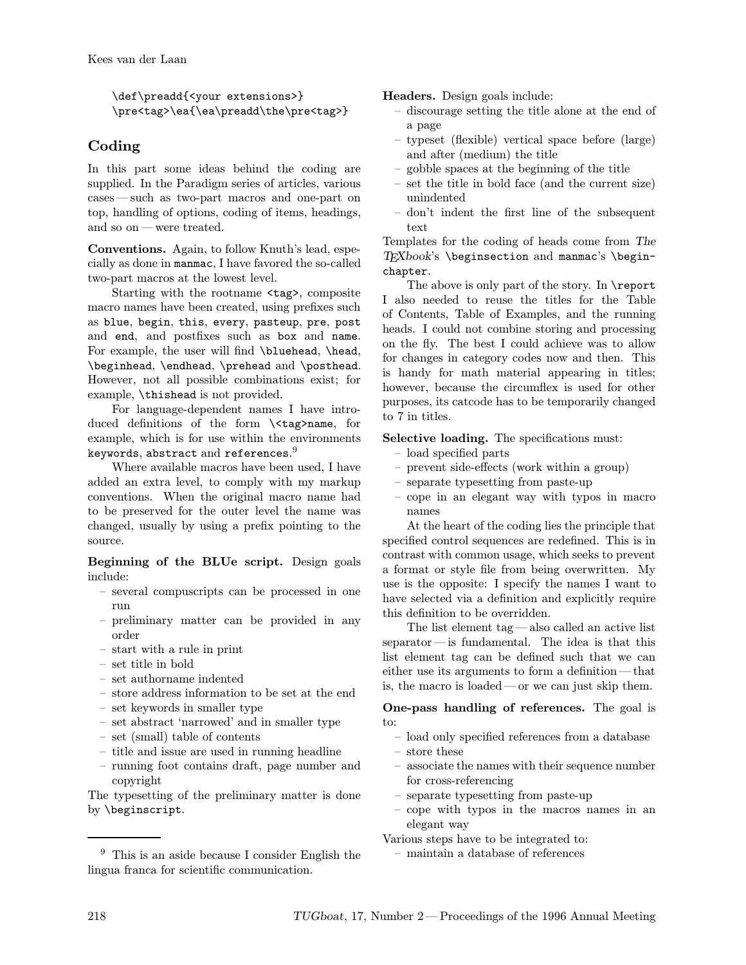\def\preadd{<your extensions>} \pre<tag>\ea{\ea\preadd\the\pre<tag>}

### Coding

In this part some ideas behind the coding are supplied. In the Paradigm series of articles, various cases—such as two-part macros and one-part on top, handling of options, coding of items, headings, and so on—were treated.

Conventions. Again, to follow Knuth's lead, especially as done in manmac, I have favored the so-called two-part macros at the lowest level.

Starting with the rootname <tag>, composite macro names have been created, using prefixes such as blue, begin, this, every, pasteup, pre, post and end, and postfixes such as box and name. For example, the user will find \bluehead, \head, \beginhead, \endhead, \prehead and \posthead. However, not all possible combinations exist; for example, \thishead is not provided.

For language-dependent names I have introduced definitions of the form \<tag>name, for example, which is for use within the environments keywords, abstract and references. $^9$ 

Where available macros have been used, I have added an extra level, to comply with my markup conventions. When the original macro name had to be preserved for the outer level the name was changed, usually by using a prefix pointing to the source.

Beginning of the BLUe script. Design goals include:

- several compuscripts can be processed in one run
- preliminary matter can be provided in any order
- start with a rule in print
- set title in bold
- set authorname indented
- store address information to be set at the end
- set keywords in smaller type
- set abstract 'narrowed' and in smaller type
- set (small) table of contents
- title and issue are used in running headline
- running foot contains draft, page number and copyright

The typesetting of the preliminary matter is done by \beginscript.

Headers. Design goals include:

- discourage setting the title alone at the end of a page
- typeset (flexible) vertical space before (large) and after (medium) the title
- gobble spaces at the beginning of the title
- set the title in bold face (and the current size) unindented
- don't indent the first line of the subsequent text

Templates for the coding of heads come from The  $T_FXbook's \begin{subarray}{l} 1 \end{subarray}$ chapter.

The above is only part of the story. In \report I also needed to reuse the titles for the Table of Contents, Table of Examples, and the running heads. I could not combine storing and processing on the fly. The best I could achieve was to allow for changes in category codes now and then. This is handy for math material appearing in titles; however, because the circumflex is used for other purposes, its catcode has to be temporarily changed to 7 in titles.

Selective loading. The specifications must:

- load specified parts
- prevent side-effects (work within a group)
- separate typesetting from paste-up
- cope in an elegant way with typos in macro names

At the heart of the coding lies the principle that specified control sequences are redefined. This is in contrast with common usage, which seeks to prevent a format or style file from being overwritten. My use is the opposite: I specify the names I want to have selected via a definition and explicitly require this definition to be overridden.

The list element tag—also called an active list separator—is fundamental. The idea is that this list element tag can be defined such that we can either use its arguments to form a definition—that is, the macro is loaded—or we can just skip them.

One-pass handling of references. The goal is to:

- load only specified references from a database
- store these
- associate the names with their sequence number for cross-referencing
- separate typesetting from paste-up
- cope with typos in the macros names in an elegant way
- Various steps have to be integrated to:
	- maintain a database of references

<sup>9</sup> This is an aside because I consider English the lingua franca for scientific communication.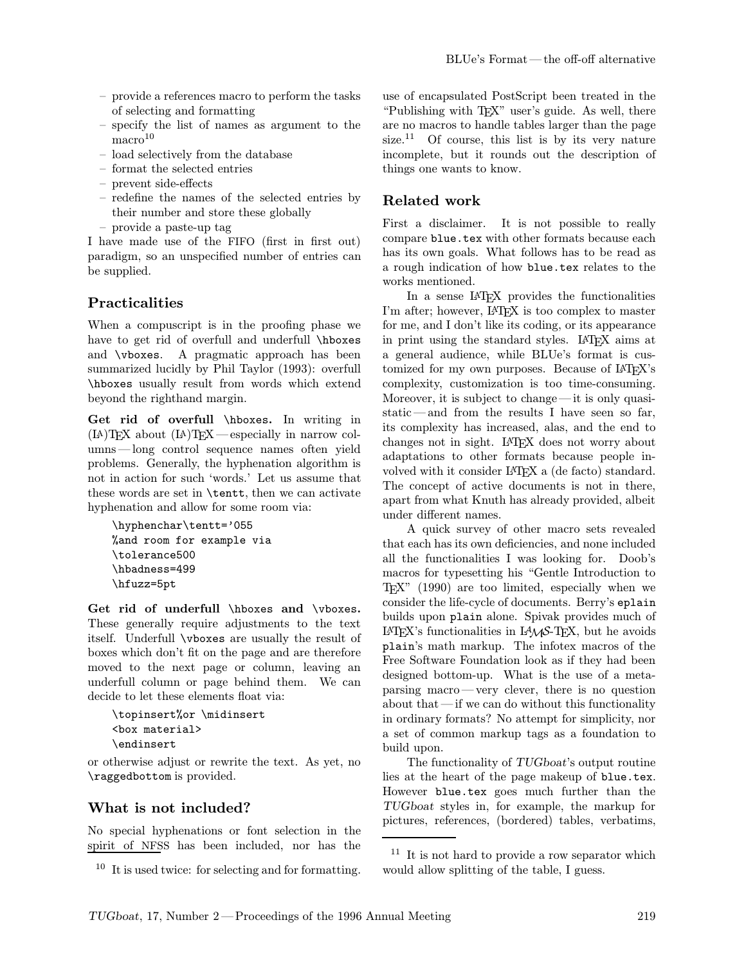- provide a references macro to perform the tasks of selecting and formatting
- specify the list of names as argument to the  $maccro<sup>10</sup>$
- load selectively from the database
- format the selected entries
- prevent side-effects
- redefine the names of the selected entries by their number and store these globally
- provide a paste-up tag

I have made use of the FIFO (first in first out) paradigm, so an unspecified number of entries can be supplied.

### Practicalities

When a compuscript is in the proofing phase we have to get rid of overfull and underfull \hboxes and \vboxes. A pragmatic approach has been summarized lucidly by Phil Taylor (1993): overfull \hboxes usually result from words which extend beyond the righthand margin.

Get rid of overfull \hboxes. In writing in (LA)TEX about (LA)TEX—especially in narrow columns —long control sequence names often yield problems. Generally, the hyphenation algorithm is not in action for such 'words.' Let us assume that these words are set in \tentt, then we can activate hyphenation and allow for some room via:

```
\hyphenchar\tentt='055
%and room for example via
\tolerance500
\hbadness=499
\hfuzz=5pt
```
Get rid of underfull \hboxes and \vboxes. These generally require adjustments to the text itself. Underfull \vboxes are usually the result of boxes which don't fit on the page and are therefore moved to the next page or column, leaving an underfull column or page behind them. We can decide to let these elements float via:

```
\topinsert%or \midinsert
<box material>
\endinsert
```
or otherwise adjust or rewrite the text. As yet, no \raggedbottom is provided.

### What is not included?

No special hyphenations or font selection in the spirit of NFSS has been included, nor has the

use of encapsulated PostScript been treated in the "Publishing with T<sub>EX</sub>" user's guide. As well, there are no macros to handle tables larger than the page size.<sup>11</sup> Of course, this list is by its very nature incomplete, but it rounds out the description of things one wants to know.

### Related work

First a disclaimer. It is not possible to really compare blue.tex with other formats because each has its own goals. What follows has to be read as a rough indication of how blue.tex relates to the works mentioned.

In a sense LATEX provides the functionalities I'm after; however, LAT<sub>F</sub>X is too complex to master for me, and I don't like its coding, or its appearance in print using the standard styles. LAT<sub>F</sub>X aims at a general audience, while BLUe's format is customized for my own purposes. Because of LAT<sub>EX</sub>'s complexity, customization is too time-consuming. Moreover, it is subject to change—it is only quasistatic —and from the results I have seen so far, its complexity has increased, alas, and the end to changes not in sight. LATEX does not worry about adaptations to other formats because people involved with it consider LAT<sub>F</sub>X a (de facto) standard. The concept of active documents is not in there, apart from what Knuth has already provided, albeit under different names.

A quick survey of other macro sets revealed that each has its own deficiencies, and none included all the functionalities I was looking for. Doob's macros for typesetting his "Gentle Introduction to TEX" (1990) are too limited, especially when we consider the life-cycle of documents. Berry's eplain builds upon plain alone. Spivak provides much of  $LAT$ <sub>EX</sub>'s functionalities in  $LAMS$ -T<sub>E</sub>X, but he avoids plain's math markup. The infotex macros of the Free Software Foundation look as if they had been designed bottom-up. What is the use of a metaparsing macro—very clever, there is no question about that—if we can do without this functionality in ordinary formats? No attempt for simplicity, nor a set of common markup tags as a foundation to build upon.

The functionality of TUGboat's output routine lies at the heart of the page makeup of blue.tex. However blue.tex goes much further than the TUGboat styles in, for example, the markup for pictures, references, (bordered) tables, verbatims,

<sup>10</sup> It is used twice: for selecting and for formatting.

<sup>&</sup>lt;sup>11</sup> It is not hard to provide a row separator which would allow splitting of the table, I guess.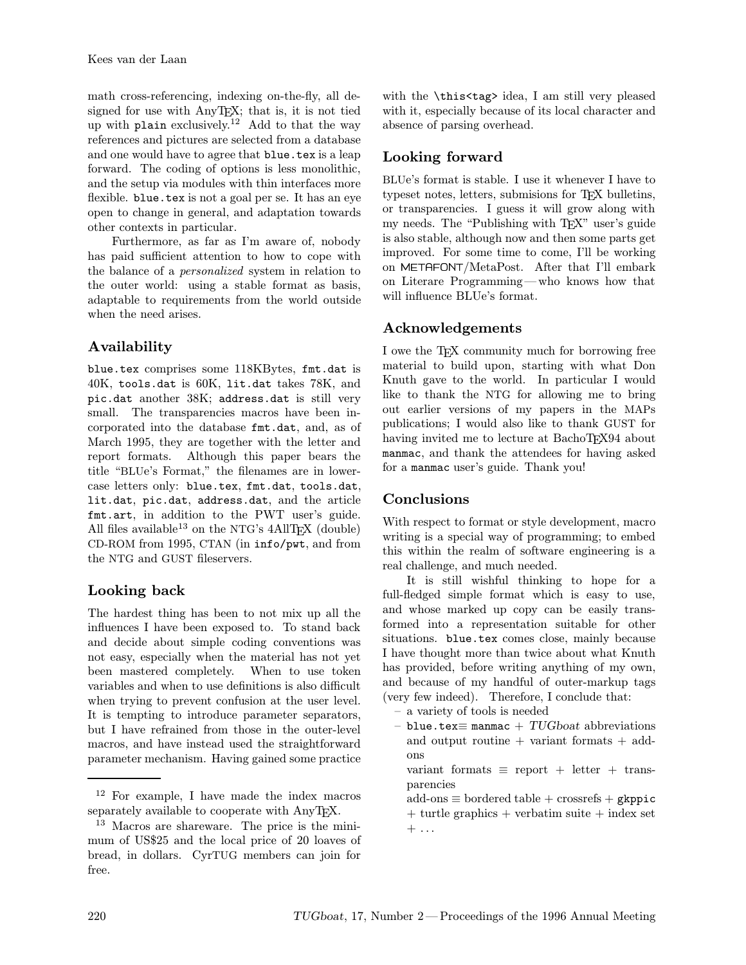math cross-referencing, indexing on-the-fly, all designed for use with AnyTEX; that is, it is not tied up with plain exclusively.<sup>12</sup> Add to that the way references and pictures are selected from a database and one would have to agree that **blue**.tex is a leap forward. The coding of options is less monolithic, and the setup via modules with thin interfaces more flexible. blue.tex is not a goal per se. It has an eye open to change in general, and adaptation towards other contexts in particular.

Furthermore, as far as I'm aware of, nobody has paid sufficient attention to how to cope with the balance of a personalized system in relation to the outer world: using a stable format as basis, adaptable to requirements from the world outside when the need arises.

# Availability

blue.tex comprises some 118KBytes, fmt.dat is 40K, tools.dat is 60K, lit.dat takes 78K, and pic.dat another 38K; address.dat is still very small. The transparencies macros have been incorporated into the database fmt.dat, and, as of March 1995, they are together with the letter and report formats. Although this paper bears the title "BLUe's Format," the filenames are in lowercase letters only: blue.tex, fmt.dat, tools.dat, lit.dat, pic.dat, address.dat, and the article fmt.art, in addition to the PWT user's guide. All files available<sup>13</sup> on the NTG's  $4$ AllTEX (double) CD-ROM from 1995, CTAN (in info/pwt, and from the NTG and GUST fileservers.

# Looking back

The hardest thing has been to not mix up all the influences I have been exposed to. To stand back and decide about simple coding conventions was not easy, especially when the material has not yet been mastered completely. When to use token variables and when to use definitions is also difficult when trying to prevent confusion at the user level. It is tempting to introduce parameter separators, but I have refrained from those in the outer-level macros, and have instead used the straightforward parameter mechanism. Having gained some practice with the \this<tag> idea, I am still very pleased with it, especially because of its local character and absence of parsing overhead.

# Looking forward

BLUe's format is stable. I use it whenever I have to typeset notes, letters, submisions for T<sub>E</sub>X bulletins, or transparencies. I guess it will grow along with my needs. The "Publishing with T<sub>EX</sub>" user's guide is also stable, although now and then some parts get improved. For some time to come, I'll be working on METAFONT/MetaPost. After that I'll embark on Literare Programming—who knows how that will influence BLUe's format.

# Acknowledgements

I owe the T<sub>EX</sub> community much for borrowing free material to build upon, starting with what Don Knuth gave to the world. In particular I would like to thank the NTG for allowing me to bring out earlier versions of my papers in the MAPs publications; I would also like to thank GUST for having invited me to lecture at BachoT<sub>E</sub>X94 about manmac, and thank the attendees for having asked for a manmac user's guide. Thank you!

# Conclusions

With respect to format or style development, macro writing is a special way of programming; to embed this within the realm of software engineering is a real challenge, and much needed.

It is still wishful thinking to hope for a full-fledged simple format which is easy to use, and whose marked up copy can be easily transformed into a representation suitable for other situations. blue.tex comes close, mainly because I have thought more than twice about what Knuth has provided, before writing anything of my own, and because of my handful of outer-markup tags (very few indeed). Therefore, I conclude that:

- a variety of tools is needed
- blue.tex≡ manmac +  $TUGboat$  abbreviations and output routine + variant formats + addons

variant formats  $\equiv$  report + letter + transparencies

 $add\text{-}ons \equiv bordered table + crossrefs + gkppic$  $+$  turtle graphics  $+$  verbatim suite  $+$  index set  $+ \ldots$ 

<sup>12</sup> For example, I have made the index macros separately available to cooperate with AnyTEX.

<sup>13</sup> Macros are shareware. The price is the minimum of US\$25 and the local price of 20 loaves of bread, in dollars. CyrTUG members can join for free.